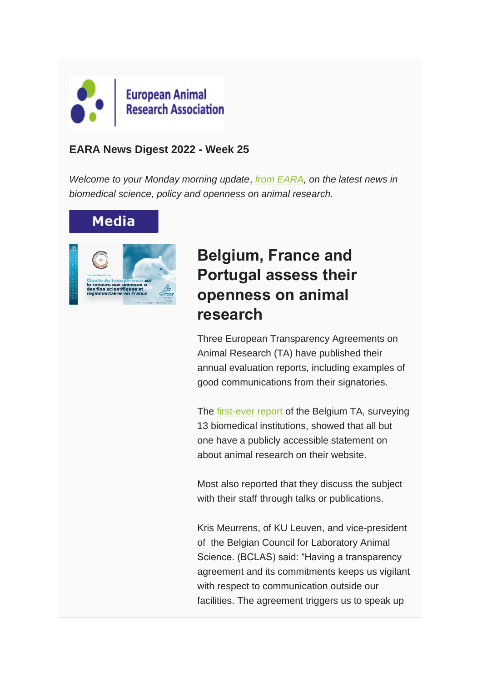

#### **EARA News Digest 2022 - Week 25**

*Welcome to your Monday morning update*, *[from EARA,](https://www.eara.eu/) on the latest news in biomedical science, policy and openness on animal research.*

#### **Media**



# **Belgium, France and Portugal assess their openness on animal research**

Three European Transparency Agreements on Animal Research (TA) have published their annual evaluation reports, including examples of good communications from their signatories.

The [first-ever report](https://www.eara.eu/post/belgium-reports-on-animal-research-openness) of the Belgium TA, surveying 13 biomedical institutions, showed that all but one have a publicly accessible statement on about animal research on their website.

Most also reported that they discuss the subject with their staff through talks or publications.

Kris Meurrens, of KU Leuven, and vice-president of the Belgian Council for Laboratory Animal Science. (BCLAS) said: "Having a transparency agreement and its commitments keeps us vigilant with respect to communication outside our facilities. The agreement triggers us to speak up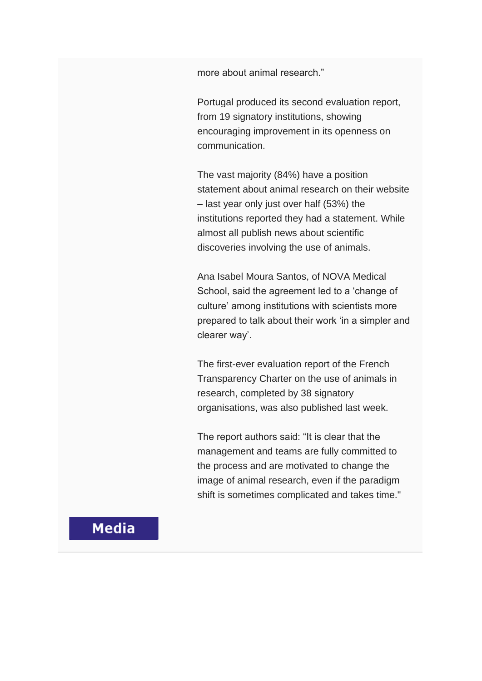more about animal research."

Portugal produced its second evaluation report, from 19 signatory institutions, showing encouraging improvement in its openness on communication.

The vast majority (84%) have a position statement about animal research on their website – last year only just over half (53%) the institutions reported they had a statement. While almost all publish news about scientific discoveries involving the use of animals.

Ana Isabel Moura Santos, of NOVA Medical School, said the agreement led to a 'change of culture' among institutions with scientists more prepared to talk about their work 'in a simpler and clearer way'.

The first-ever evaluation report of the French Transparency Charter on the use of animals in research, completed by 38 signatory organisations, was also published last week.

The report authors said: "It is clear that the management and teams are fully committed to the process and are motivated to change the image of animal research, even if the paradigm shift is sometimes complicated and takes time."

### **Media**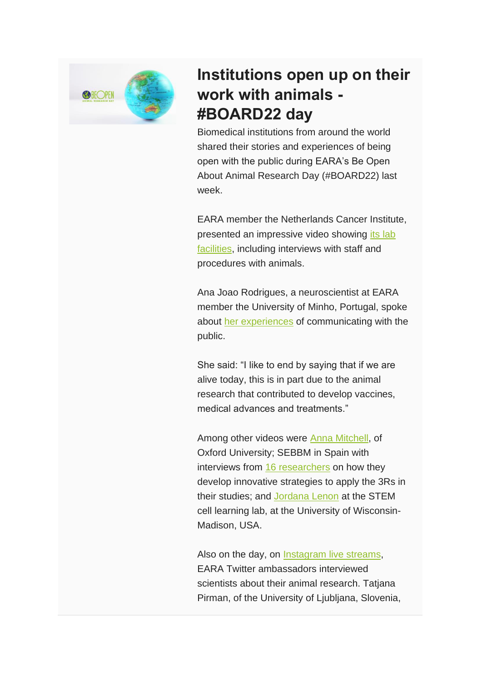

# **Institutions open up on their work with animals - #BOARD22 day**

Biomedical institutions from around the world shared their stories and experiences of being open with the public during EARA's Be Open About Animal Research Day (#BOARD22) last week.

EARA member the Netherlands Cancer Institute, presented an impressive video showing [its lab](https://twitter.com/The_EARA/status/1537392039574183936)  [facilities,](https://twitter.com/The_EARA/status/1537392039574183936) including interviews with staff and procedures with animals.

Ana Joao Rodrigues, a neuroscientist at EARA member the University of Minho, Portugal, spoke about [her experiences](https://twitter.com/The_EARA/status/1537334158380474368) of communicating with the public.

She said: "I like to end by saying that if we are alive today, this is in part due to the animal research that contributed to develop vaccines, medical advances and treatments."

Among other videos were [Anna Mitchell,](https://twitter.com/The_EARA/status/1537317800171253761) of Oxford University; SEBBM in Spain with interviews from [16 researchers](https://twitter.com/SEBBM_es/status/1537342530467020801) on how they develop innovative strategies to apply the 3Rs in their studies; and [Jordana Lenon](https://twitter.com/The_EARA/status/1537484146796384256) at the STEM cell learning lab, at the University of Wisconsin-Madison, USA.

Also on the day, on [Instagram live streams,](https://www.instagram.com/the.eara/) EARA Twitter ambassadors interviewed scientists about their animal research. Tatjana Pirman, of the University of Ljubljana, Slovenia,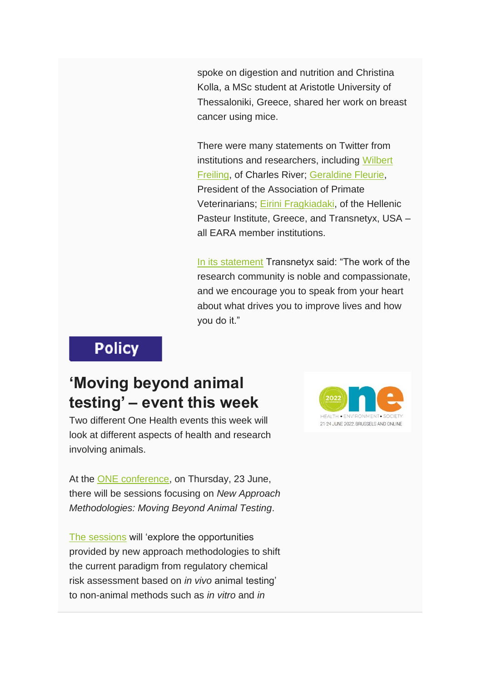spoke on digestion and nutrition and Christina Kolla, a MSc student at Aristotle University of Thessaloniki, Greece, shared her work on breast cancer using mice.

There were many statements on Twitter from institutions and researchers, including [Wilbert](https://twitter.com/CRiverLabs/status/1537385753428348929)  [Freiling,](https://twitter.com/CRiverLabs/status/1537385753428348929) of Charles River; [Geraldine Fleurie,](https://twitter.com/The_EARA/status/1537481881490321408) President of the Association of Primate Veterinarians; [Eirini Fragkiadaki,](https://twitter.com/HSBLAS1/status/1537480103625646082) of the Hellenic Pasteur Institute, Greece, and Transnetyx, USA – all EARA member institutions.

[In its statement](https://twitter.com/The_EARA/status/1537483139685044225) Transnetyx said: "The work of the research community is noble and compassionate, and we encourage you to speak from your heart about what drives you to improve lives and how you do it."

## **Policy**

# **'Moving beyond animal testing' – event this week**

Two different One Health events this week will look at different aspects of health and research involving animals.

At the [ONE conference,](https://www.one2022.eu/) on Thursday, 23 June, there will be sessions focusing on *New Approach Methodologies: Moving Beyond Animal Testing*.

[The sessions](https://www.one2022.eu/programme/many-ways/new-approach-methodologies-moving-beyond-animal-testing?mc_cid=eb019c955c&mc_eid=b849a7876d) will 'explore the opportunities provided by new approach methodologies to shift the current paradigm from regulatory chemical risk assessment based on *in vivo* animal testing' to non-animal methods such as *in vitro* and *in*